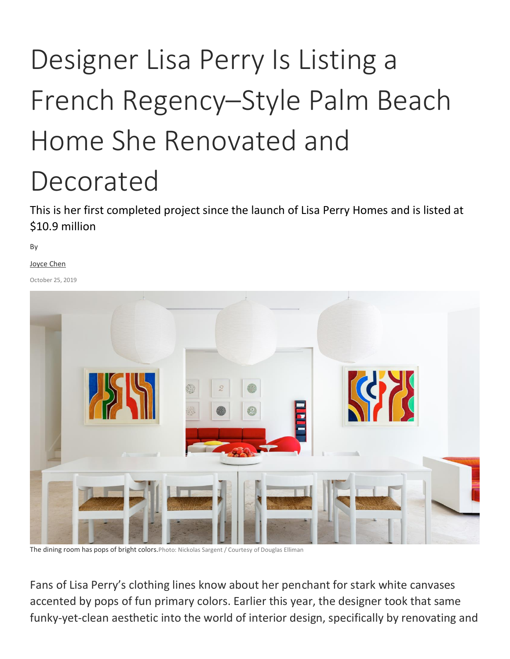## Designer Lisa Perry Is Listing a French Regency–Style Palm Beach Home She Renovated and Decorated

This is her first completed project since the launch of Lisa Perry Homes and is listed at \$10.9 million

By

[Joyce Chen](https://www.architecturaldigest.com/contributor/joyce-chen)

October 25, 2019



The dining room has pops of bright colors. Photo: Nickolas Sargent / Courtesy of Douglas Elliman

Fans of Lisa Perry's clothing lines know about her penchant for stark white canvases accented by pops of fun primary colors. Earlier this year, the designer took that same funky-yet-clean aesthetic into the world of interior design, specifically by renovating and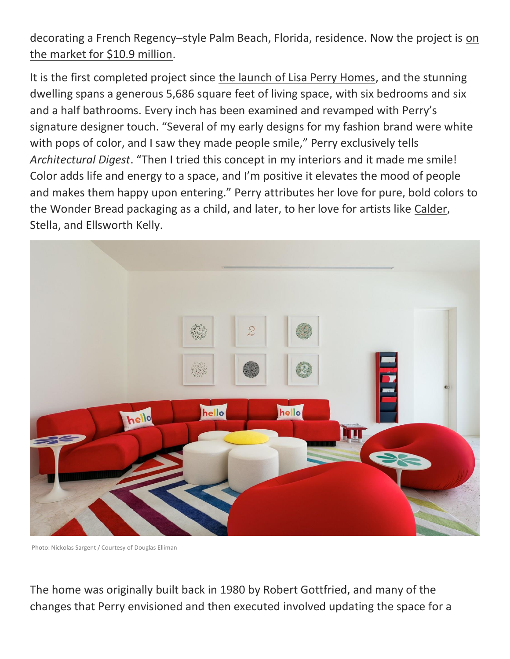decorating a French Regency–style Palm Beach, Florida, residence. Now the project is [on](https://www.burtminkoff.elliman.com/florida/3-via-los-incas-palm-beach-mkdmuon)  [the market for \\$10.9 million.](https://www.burtminkoff.elliman.com/florida/3-via-los-incas-palm-beach-mkdmuon)

It is the first completed project since [the launch of Lisa Perry Homes,](https://www.architecturaldigest.com/story/lisa-perry-fashion-homes-design-book) and the stunning dwelling spans a generous 5,686 square feet of living space, with six bedrooms and six and a half bathrooms. Every inch has been examined and revamped with Perry's signature designer touch. "Several of my early designs for my fashion brand were white with pops of color, and I saw they made people smile," Perry exclusively tells *Architectural Digest*. "Then I tried this concept in my interiors and it made me smile! Color adds life and energy to a space, and I'm positive it elevates the mood of people and makes them happy upon entering." Perry attributes her love for pure, bold colors to the Wonder Bread packaging as a child, and later, to her love for artists like [Calder,](https://www.architecturaldigest.com/story/alexander-calders-famed-mobile-inspires-a-thoughtful-interior-concept) Stella, and Ellsworth Kelly.



Photo: Nickolas Sargent / Courtesy of Douglas Elliman

The home was originally built back in 1980 by Robert Gottfried, and many of the changes that Perry envisioned and then executed involved updating the space for a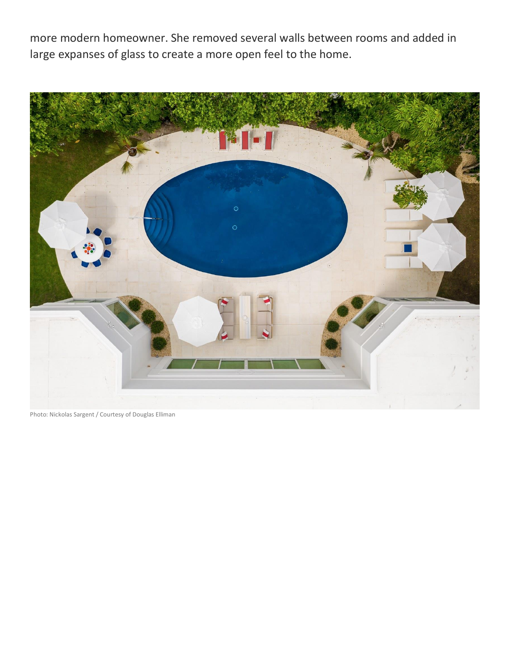more modern homeowner. She removed several walls between rooms and added in large expanses of glass to create a more open feel to the home.



Photo: Nickolas Sargent / Courtesy of Douglas Elliman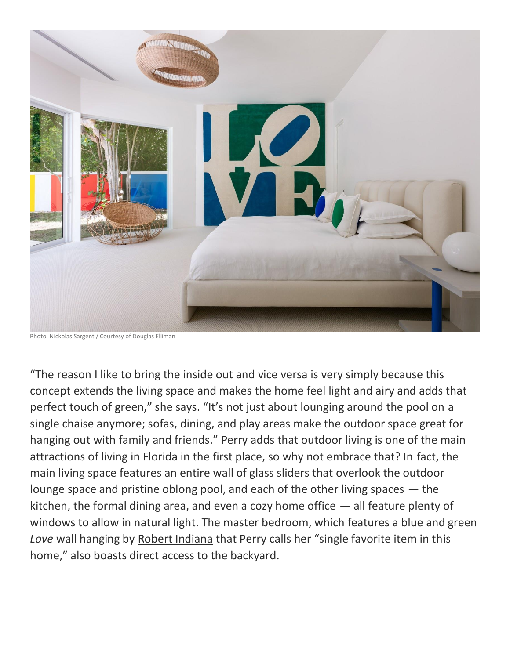

Photo: Nickolas Sargent / Courtesy of Douglas Elliman

"The reason I like to bring the inside out and vice versa is very simply because this concept extends the living space and makes the home feel light and airy and adds that perfect touch of green," she says. "It's not just about lounging around the pool on a single chaise anymore; sofas, dining, and play areas make the outdoor space great for hanging out with family and friends." Perry adds that outdoor living is one of the main attractions of living in Florida in the first place, so why not embrace that? In fact, the main living space features an entire wall of glass sliders that overlook the outdoor lounge space and pristine oblong pool, and each of the other living spaces  $-$  the kitchen, the formal dining area, and even a cozy home office  $-$  all feature plenty of windows to allow in natural light. The master bedroom, which features a blue and green *Love* wall hanging by [Robert Indiana](https://www.architecturaldigest.com/story/aventura-mall-art) that Perry calls her "single favorite item in this home," also boasts direct access to the backyard.